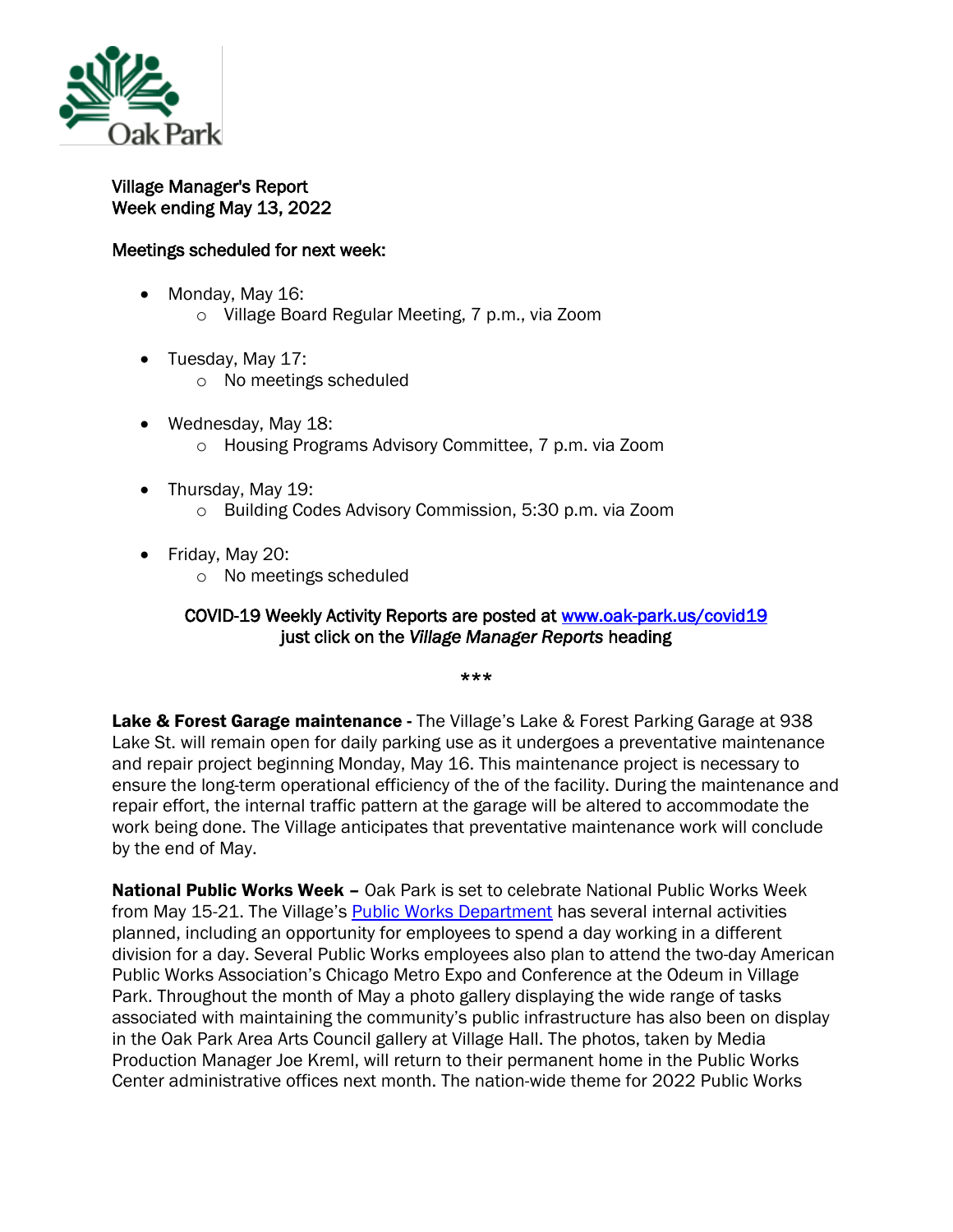

Village Manager's Report Week ending May 13, 2022

## Meetings scheduled for next week:

- Monday, May 16:
	- o Village Board Regular Meeting, 7 p.m., via Zoom
- Tuesday, May 17:
	- o No meetings scheduled
- Wednesday, May 18: o Housing Programs Advisory Committee, 7 p.m. via Zoom
- Thursday, May 19:
	- o Building Codes Advisory Commission, 5:30 p.m. via Zoom
- Friday, May 20:
	- o No meetings scheduled

## COVID-19 Weekly Activity Reports are posted at www.oak-park.us/covid19 just click on the *Village Manager Reports* heading

\*\*\*

Lake & Forest Garage maintenance - The Village's Lake & Forest Parking Garage at 938 Lake St. will remain open for daily parking use as it undergoes a preventative maintenance and repair project beginning Monday, May 16. This maintenance project is necessary to ensure the long-term operational efficiency of the of the facility. During the maintenance and repair effort, the internal traffic pattern at the garage will be altered to accommodate the work being done. The Village anticipates that preventative maintenance work will conclude by the end of May.

**National Public Works Week –** Oak Park is set to celebrate National Public Works Week from May 15-21. The Village's [Public Works Department](https://www.oak-park.us/village-services/public-works-department) has several internal activities planned, including an opportunity for employees to spend a day working in a different division for a day. Several Public Works employees also plan to attend the two-day American Public Works Association's Chicago Metro Expo and Conference at the Odeum in Village Park. Throughout the month of May a photo gallery displaying the wide range of tasks associated with maintaining the community's public infrastructure has also been on display in the Oak Park Area Arts Council gallery at Village Hall. The photos, taken by Media Production Manager Joe Kreml, will return to their permanent home in the Public Works Center administrative offices next month. The nation-wide theme for 2022 Public Works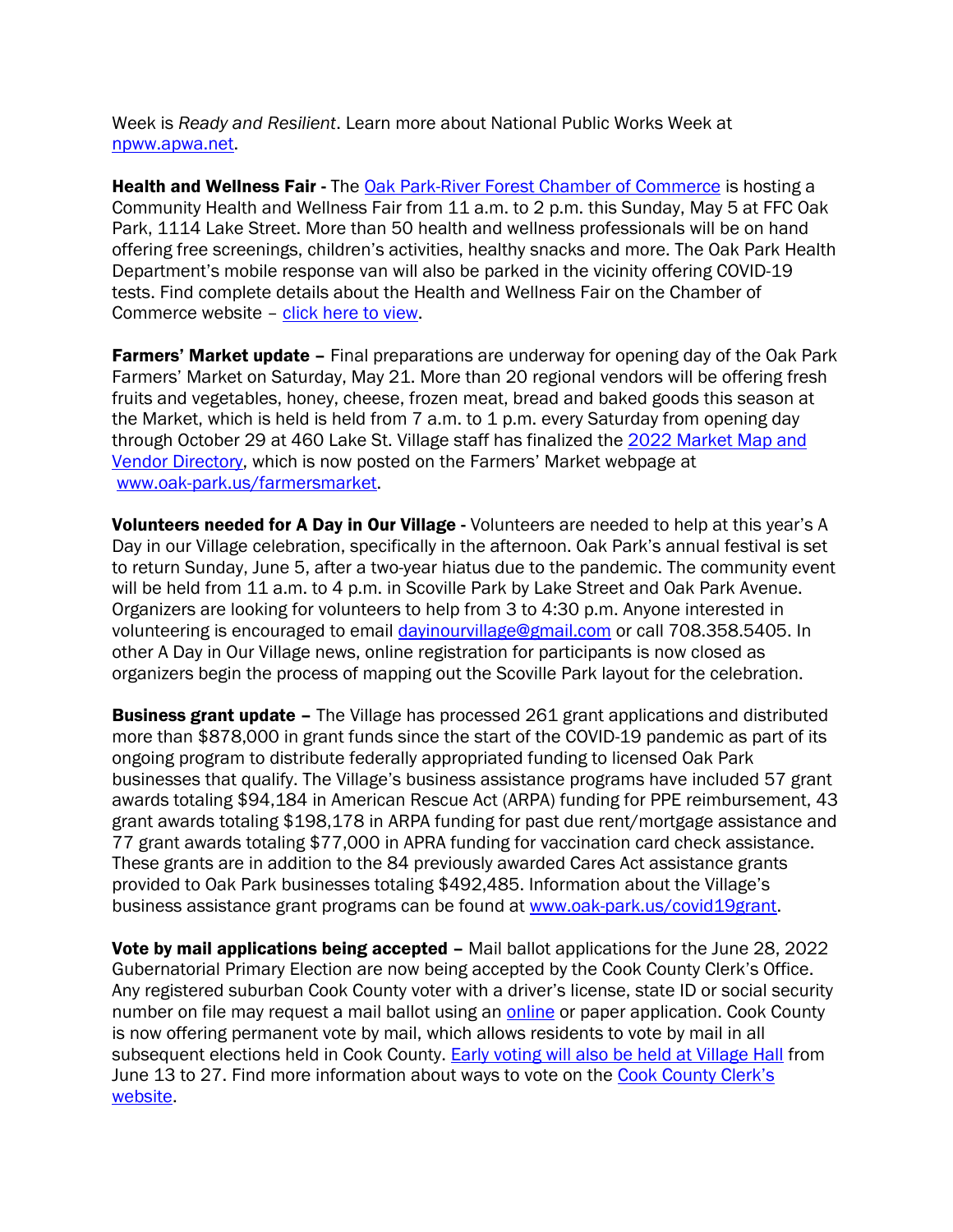Week is *Ready and Resilient*. Learn more about National Public Works Week at [npww.apwa.net.](https://npww.apwa.net/)

Health and Wellness Fair - The [Oak Park-River Forest Chamber of Commerce](https://www.oprfchamber.org/) is hosting a Community Health and Wellness Fair from 11 a.m. to 2 p.m. this Sunday, May 5 at FFC Oak Park, 1114 Lake Street. More than 50 health and wellness professionals will be on hand offering free screenings, children's activities, healthy snacks and more. The Oak Park Health Department's mobile response van will also be parked in the vicinity offering COVID-19 tests. Find complete details about the Health and Wellness Fair on the Chamber of Commerce website – [click here to view.](https://www.oprfchamber.org/events/details/6th-annual-2022-community-health-wellness-fair-39167?fbclid=IwAR2rf9LMo7INHN4hhWudGMRiKkywuQaH02A52J2caj7j3qEDHff580Qy3_o)

**Farmers' Market update –** Final preparations are underway for opening day of the Oak Park Farmers' Market on Saturday, May 21. More than 20 regional vendors will be offering fresh fruits and vegetables, honey, cheese, frozen meat, bread and baked goods this season at the Market, which is held is held from 7 a.m. to 1 p.m. every Saturday from opening day through October 29 at 460 Lake St. Village staff has finalized the 2022 [Market Map and](https://www.oak-park.us/sites/default/files/farmers-market/fm-map-flyer-2022.pdf)  [Vendor Directory](https://www.oak-park.us/sites/default/files/farmers-market/fm-map-flyer-2022.pdf), which is now posted on the Farmers' Market webpage at [www.oak-park.us/farmersmarket.](https://l.facebook.com/l.php?u=http%3A%2F%2Fwww.oak-park.us%2Ffarmersmarket%3Ffbclid%3DIwAR2fsafcKyT94bw87iUmAc8_d9DefKDtZ22XVCLGGu3rYr9SVScBvfjcmKE&h=AT2oEtOee4mcZpA6o6-ntiMXjAr0ooN_5BOzHZuLCr2-7Z-iJJg9ORSUbt_8jmxQGAznQWGJtCDqUsrPWVfYbav4fgGa4unK8em3PeeTZxSA6Cd-aWIjLTcZohPRtWMI&__tn__=-UK-R&c%5b0%5d=AT0IaazS2Hn8VMHOSvxDne_UFdvFYKJsRYZs5Z6-R8csO0rG64v5rn8cFf_C9ZudC8qVr-fMowmdjT7bodSfC-HIVF6v3vSPbKe57FOQmh7iKpfYLPwW58SiQmLBEPl-UiK6zKjJYbbROPi2tGs80bi210MneqnTX1TIKFK2YH_QHg)

Volunteers needed for A Day in Our Village - Volunteers are needed to help at this year's A Day in our Village celebration, specifically in the afternoon. Oak Park's annual festival is set to return Sunday, June 5, after a two-year hiatus due to the pandemic. The community event will be held from 11 a.m. to 4 p.m. in Scoville Park by Lake Street and Oak Park Avenue. Organizers are looking for volunteers to help from 3 to 4:30 p.m. Anyone interested in volunteering is encouraged to email [dayinourvillage@gmail.com](mailto:dayinourvillage@gmail.com) or call 708.358.5405. In other A Day in Our Village news, online registration for participants is now closed as organizers begin the process of mapping out the Scoville Park layout for the celebration.

**Business grant update -** The Village has processed 261 grant applications and distributed more than \$878,000 in grant funds since the start of the COVID-19 pandemic as part of its ongoing program to distribute federally appropriated funding to licensed Oak Park businesses that qualify. The Village's business assistance programs have included 57 grant awards totaling \$94,184 in American Rescue Act (ARPA) funding for PPE reimbursement, 43 grant awards totaling \$198,178 in ARPA funding for past due rent/mortgage assistance and 77 grant awards totaling \$77,000 in APRA funding for vaccination card check assistance. These grants are in addition to the 84 previously awarded Cares Act assistance grants provided to Oak Park businesses totaling \$492,485. Information about the Village's business assistance grant programs can be found at [www.oak-park.us/covid19grant.](http://www.oak-park.us/covid19grant)

Vote by mail applications being accepted - Mail ballot applications for the June 28, 2022 Gubernatorial Primary Election are now being accepted by the Cook County Clerk's Office. Any registered suburban Cook County voter with a driver's license, state ID or social security number on file may request a mail ballot using an [online](https://www.cookcountyclerkil.gov/elections/ways-to-vote/vote-by-mail) or paper application. Cook County is now offering permanent vote by mail, which allows residents to vote by mail in all subsequent elections held in Cook County. [Early voting will also be held at Village Hall](https://www.oak-park.us/newsletters/mayjune-2022/village-hall-host-early-voting) from June 13 to 27. Find more information about ways to vote on the Cook County Clerk's [website.](https://www.cookcountyclerkil.gov/elections/ways-to-vote)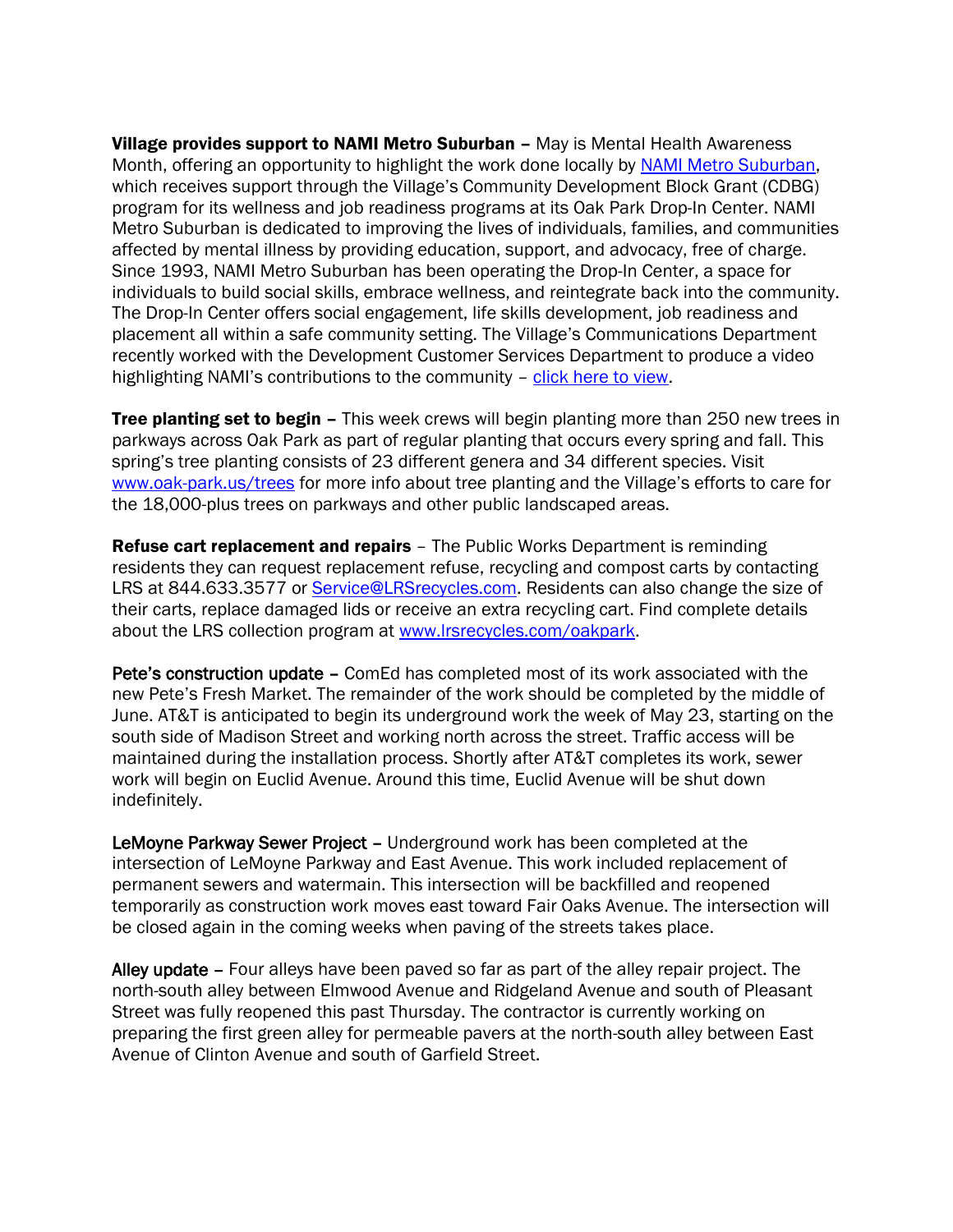Village provides support to NAMI Metro Suburban - May is Mental Health Awareness Month, offering an opportunity to highlight the work done locally by [NAMI Metro Suburban,](https://namimetsub.org/) which receives support through the Village's Community Development Block Grant (CDBG) program for its wellness and job readiness programs at its Oak Park Drop-In Center. NAMI Metro Suburban is dedicated to improving the lives of individuals, families, and communities affected by mental illness by providing education, support, and advocacy, free of charge. Since 1993, NAMI Metro Suburban has been operating the Drop-In Center, a space for individuals to build social skills, embrace wellness, and reintegrate back into the community. The Drop-In Center offers social engagement, life skills development, job readiness and placement all within a safe community setting. The Village's Communications Department recently worked with the Development Customer Services Department to produce a video highlighting NAMI's contributions to the community – [click here to view.](https://www.youtube.com/watch?v=AX7nhY7E7gk)

**Tree planting set to begin –** This week crews will begin planting more than 250 new trees in parkways across Oak Park as part of regular planting that occurs every spring and fall. This spring's tree planting consists of 23 different genera and 34 different species. Visit [www.oak-park.us/trees](http://www.oak-park.us/trees) for more info about tree planting and the Village's efforts to care for the 18,000-plus trees on parkways and other public landscaped areas.

**Refuse cart replacement and repairs** - The Public Works Department is reminding residents they can request replacement refuse, recycling and compost carts by contacting LRS at 844.633.3577 or [Service@LRSrecycles.com.](mailto:Service@LRSrecycles.com) Residents can also change the size of their carts, replace damaged lids or receive an extra recycling cart. Find complete details about the LRS collection program at [www.lrsrecycles.com/oakpark.](https://l.facebook.com/l.php?u=http%3A%2F%2Fwww.lrsrecycles.com%2Foakpark%3Ffbclid%3DIwAR2IqR2X-4lg-TGWwqGGLnDkRwioPjeSAyAhNjynnFOPYGFv83-mf5iH-jQ&h=AT1n87sp7iUmtGHOB5iCNRJIGZQM5qGtUjoChvbtMPkdf2T_vpgziymGeuHCqZ50pQvgcdNvBBBN-La1eyABcyCqlnpo0AVQ9OIKOfyU3cmPPRRWDai_x7jTMtDxqRRP&__tn__=-UK-R&c%5b0%5d=AT2dRjdOdUBkpKPIK5pBrBdomsKM_y1RTBWTcDZXifW3b_AJD2ePnjBC7wHsuhY3nXbAbAWTr0Dq73ivJ83Vzv6xv1Tc7jdUsVmle0qbLgRSE_FGwjut5HZ6tf0hVzpnEhYTTI6NYRyxUlFVeJfeXJ82Iw)

Pete's construction update – ComEd has completed most of its work associated with the new Pete's Fresh Market. The remainder of the work should be completed by the middle of June. AT&T is anticipated to begin its underground work the week of May 23, starting on the south side of Madison Street and working north across the street. Traffic access will be maintained during the installation process. Shortly after AT&T completes its work, sewer work will begin on Euclid Avenue. Around this time, Euclid Avenue will be shut down indefinitely.

LeMoyne Parkway Sewer Project – Underground work has been completed at the intersection of LeMoyne Parkway and East Avenue. This work included replacement of permanent sewers and watermain. This intersection will be backfilled and reopened temporarily as construction work moves east toward Fair Oaks Avenue. The intersection will be closed again in the coming weeks when paving of the streets takes place.

Alley update – Four alleys have been paved so far as part of the alley repair project. The north-south alley between Elmwood Avenue and Ridgeland Avenue and south of Pleasant Street was fully reopened this past Thursday. The contractor is currently working on preparing the first green alley for permeable pavers at the north-south alley between East Avenue of Clinton Avenue and south of Garfield Street.